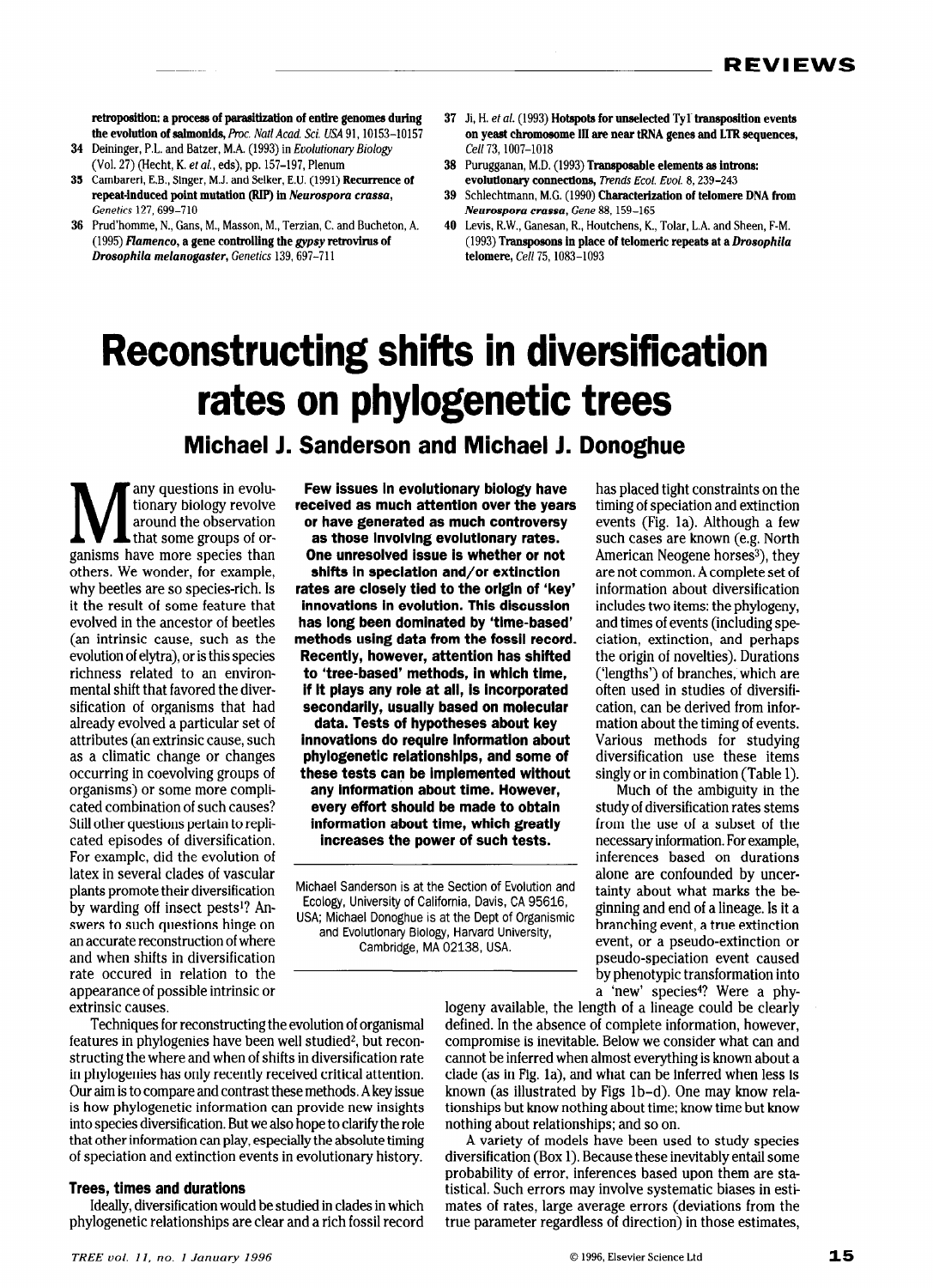retroposition: a process of parasitization of entire genomes during the evolution of salmonids, Proc. Natl Acad. Sci. USA 91, 10153-10157

- 34 Deininger, P.L. and Batzer, M.A. (1993) in Evolutionary Biology (Vol. 27) (Hecht, K. et al., eds), pp. 157-197, Plenum
- 35 Cambareri, E.B., Singer, M.J. and Selker, E.U. (1991) Recurrence of repeat-induced point mutation (RIP) in Neurospora crassa, Genetics 127,699-710
- 36 Prud'homme, N., Gans, M., Masson, M., Terzian, C. and Bucheton, A. (1995) Flamenco, a gene controlling the gypsy retrovirus of Drosophila melanogaster, Genetics 139,697-711
- 37 Ji, H. et al. (1993) Hotspots for unselected Tyl-transposition events on yeast chromosome III are near tRNA genes and LTR sequences, Cell 73, 1007-1018
- 38 Purugganan, M.D. (1993) Transposable elements as introns: evolutionary connections, Trends Ecol. Evol. 8, 239-243
- 39 Schlechtmann, M.C. (1990) Characterization of telomere DNA from Neurospora crassa, Gene 88,159-165
- 40 Levis, R.W., Ganesan, R., Houtchens, K., Tolar, L.A. and Sheen, F-M. (1993) Transposons in place of telomeric repeats at a Drosopkila telomere, Cell 75,1083-1093

# Reconstructing shifts in diversification rates on phylogenetic trees

Michael 1. Sanderson and Michael J. Donoghue

M any questions in evolu-<br>tionary biology revolve<br>around the observation tionary biology revolve around the observation that some groups of organisms have more species than others. We wonder, for example, why beetles are so species-rich. is it the result of some feature that evolved in the ancestor of beetles (an intrinsic cause, such as the evolution of eiytra), or is this species richness related to an environmental shift that favored the diversification of organisms that had already evolved a particular set of attributes (an extrinsic cause, such as a climatic change or changes occurring in coevoiving groups of organisms) or some more compiicated combination of such causes? Still other questions pertain to repiicated episodes of diversification For example, did the evolution of later in several clerks of vescular plants promote their diversification plants promote their diversification<br>by warding off insect pests<sup>1</sup>? Answers to such questions hinge on an accurate reconstruction of where and when shifts in diversification rate occured in relation to the appearance of possible intrinsic or appearance or po

Few issues in evolutionary biology have received as much attention over the years or have generated as much controversy as those involving evolutionary rates. One unresolved issue is whether or not

shifts in speciation and/or extinction rates are closely tied to the origin of 'key' innovations in evolution. This discussion has long been dominated by 'time-based' methods using data from the fossil record. Recently, however, attention has shifted to 'tree-based' methods, in which time, if it plays any role at all, is incorporated secondarily, usually based on molecular data. Tests of hypotheses about key innovations do require information about phylogenetic relationships, and some of these tests can be implemented without any information about time. However, every effort should be made to obtain information about time, which greatly increases the power of such tests.

Michael Sanderson is at the Section of Evolution and Ecology, University of California, Davis, CA 95616, USA; Michael Donoghue is at the Dept of Organismic and Evolutionary Biology, Harvard University, Cambridge, MA 02138, USA.

has placed tight constraints on the timing of speciation and extinction events (Fig. la). Although a few such cases are known (e.g. North American Neogene horses<sup>3</sup>), they are not common. A complete set of information about diversification includes two items: the phylogeny, and times of events (including speciation, extinction, and perhaps the origin of novelties). Durations ('lengths') of branches, which are often used in studies of diversification, can be derived from information about the timing of events. Various methods for studying diversification use these items singly or in combination (Table 1).

Much of the ambiguity in the study of diversification rates stems from the use of a subset of the necessary information. For example, inferences based on durations alone are confounded by uncertainty about what marks the be ginning and end of a lineage. is it a branching event, a true extinction event, or a pseudo-extinction or pseudo-speciation event caused by phenotypic transformation into by phenotypic transformation into iogeness available, the length of a lineage could be clearly

extrinsic causes.<br>Techniques for reconstructing the evolution of organismal features in phylogenies have been well studied<sup>2</sup>, but reconstructures in phylogenics have been wen studied, but reconsu ucung the where and when or simes in diversification rate m phylogenies has only recently received critical attention.  $\sigma$  din is to compare and contrast these methods. A key issue is how phylogenetic information can provide new insights into species diversification. But we also hope to clarify the role that other information can play, especially the absolute timing<br>of speciation and extinction events in evolutionary history.

#### Trees, times and durations US, diversification would be studied in which would be studied in which we studied in which we studied in which which we studied in which we studied in which we studied in which we studied in which we studied in which we s

physiogenetic relationships are clearly determined and a rich fossil relationships and a rich for the rich for

defined. In the absence of complete information, however, defined. In the absence of complete information, however, compromise is inevitable. Below we consider what can and compromot is internative below we consider what can and cannot be interred when annost every thing is mown about a clade (as in Fig. 1a), and what can be inferred when less is known (as illustrated by Figs 1b-d). One may know relationships but know nothing about time; know time but know<br>nothing about relationships; and so on.  $A = \{x_1, x_2, \ldots, x_n\}$ 

 $\alpha$  variety of models have been used to study species diversification (Box 1). Because these inevitably entail some probability of error, inferences based upon them are statistical. Such errors may involve systematic biases in estimates of rates, large average errors (deviations from the true parameter regardless of direction) in those estimates,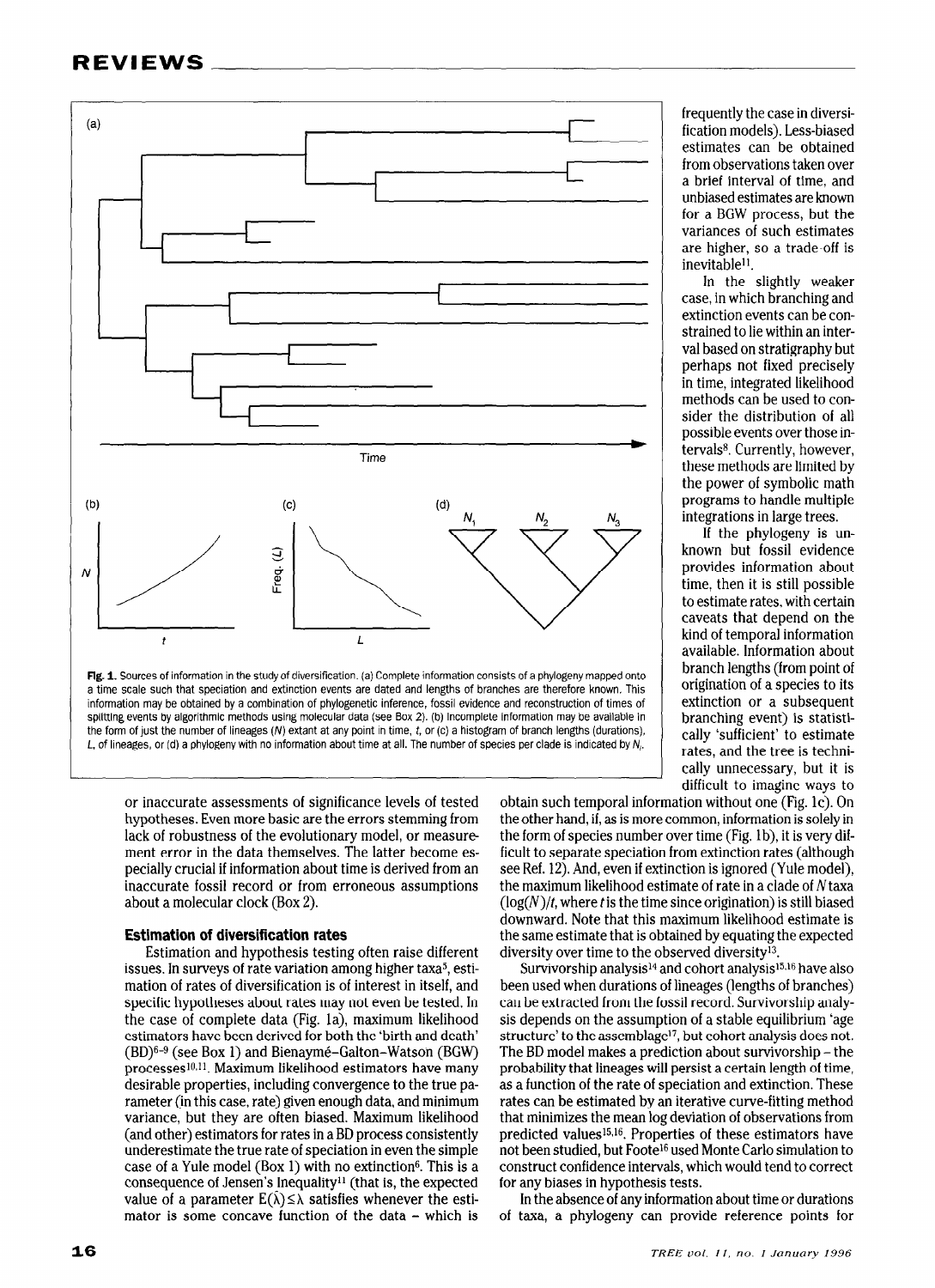

information may be obtained by a combination of phylogenetic inference, fossil evidence and reconstruction of times of splitting events by algorithmic methods using molecular data (see Box 2). (b) Incomplete information may be available in the form of just the number of lineages  $(N)$  extant at any point in time, t, or  $(c)$  a histogram of branch lengths (durations), L, of lineages, or (d) a phylogeny with no information about time at all. The number of species per clade is indicated by N,.

or inaccurate assessments of significance levels of tested hypotheses. Even more basic are the errors stemming from lack of robustness of the evolutionary model, or measure ment error in the data themselves. The latter become especially crucial if information about time is derived from an inaccurate fossil record or from erroneous assumptions about a molecular clock (Box 2).

# Estimation of diversification rates

Estimation and hypothesis testing often raise different issues. In surveys of rate variation among higher taxa<sup>5</sup>, estimation of rates of diversification is of interest in itself, and specific hypotheses about rates may not even be tested. In the case of complete data (Fig. la), maximum likelihood estimators have been derived for both the 'birth and death'  $(500)(0.6)$   $(500)(0.7)$  and  $(50)(0.7)$  and  $(50)(0.8)$  $p_{\text{p}}$  (see DOA 1) and Dichayine-Ganon-Warson  $p_{\text{p}}$ processes<sup>-12</sup>, maximum inclinous estimators have many rameter (in the case, including convergence to the true pay valieter (in this case, rate) given enough data, and minimum variance, but they are often biased. Maximum likelihood (and other) estimators for rates in a BD process consistently under estimate the true rate of speciation in even the simple case of a Yule model (Box 1) with no extinction<sup>6</sup>. This is a consequence of Jensen's Inequality<sup>11</sup> (that is, the expected value of a parameter  $E(\hat{\lambda}) \leq \lambda$  satisfies whenever the estimator is some concave function of the data - which is

frequently the case in diversification models). Less-biased estimates can be obtained from observations taken over a brief interval of time, and unbiased estimates are known for a BGW process, but the variances of such estimates are higher, so a trade-off is inevitable<sup>11</sup>.

In the slightly weaker case, in which branching and extinction events can be constrained to lie within an interval based on stratigraphy but perhaps not fixed precisely in time, integrated likelihood methods can be used to consider the distribution of all possible events over those intervals<sup>8</sup>. Currently, however, these methods are limited by the power of symbolic math programs to handle multiple integrations in large trees.

known but fossil evidence provides information about time, then it is still possible to estimate rates, with certain caveats that depend on the kind of temporal information available. lnformation about branch lengths (from point of origination of a species to its extinction or a subsequent branching event) is statistically 'sufficient' to estimate rates, and the tree is technically unnecessary, but it is difficult to imagine ways to If the phylogeny is un-

obtain such temporal information without one (Fig. lc). On the other hand, if, as is more common, information is solely in the form of species number over time (Fig. lb), it is very difficult to separate speciation from extinction rates (although see Ref. 12). And, even if extinction is ignored (Yule model), the maximum likelihood estimate of rate in a clade of Ntaxa  $(log(N)/t$ , where t is the time since origination) is still biased downward. Note that this maximum likelihood estimate is the same estimate that is obtained by equating the expected diversity over time to the observed diversity<sup>13</sup>.

Survivorship analysis<sup>14</sup> and cohort analysis<sup>15,16</sup> have also been used when durations of lineages (lengths of branches) can be extracted from the fossil record. Survivorship analysis depends on the assumption of a stable equilibrium 'age structure' to the assemblage<sup>17</sup>, but cohort analysis does not. The BD model makes a prediction about survivorship - the probability that lineages will persist a certain length of time, probability that incages will persist a certain length of thire, as a function of the face of speciation and extinction. These that minimizes the mean log deviative curve-mung memori  $\frac{1}{2}$  predicted values of the mean togen values of the settimation of these estimators have estimated values of the set of the set of the set of the set of the set of the set of the set of the set of the set of the se predicted values<sup>15,16</sup>. Properties of these estimators have not been studied, but Foote<sup>16</sup> used Monte Carlo simulation to construct confidence intervals, which would tend to correct<br>for any biases in hypothesis tests.  $\frac{1}{100}$  the about time of any information about time or during  $\frac{1}{100}$  or  $\frac{1}{100}$  or  $\frac{1}{100}$  or  $\frac{1}{100}$  or  $\frac{1}{100}$  or  $\frac{1}{100}$  or  $\frac{1}{100}$  or  $\frac{1}{100}$  or  $\frac{1}{100}$  or  $\frac{1}{100}$  or  $\frac{$ 

in the absence of any information about three or transitions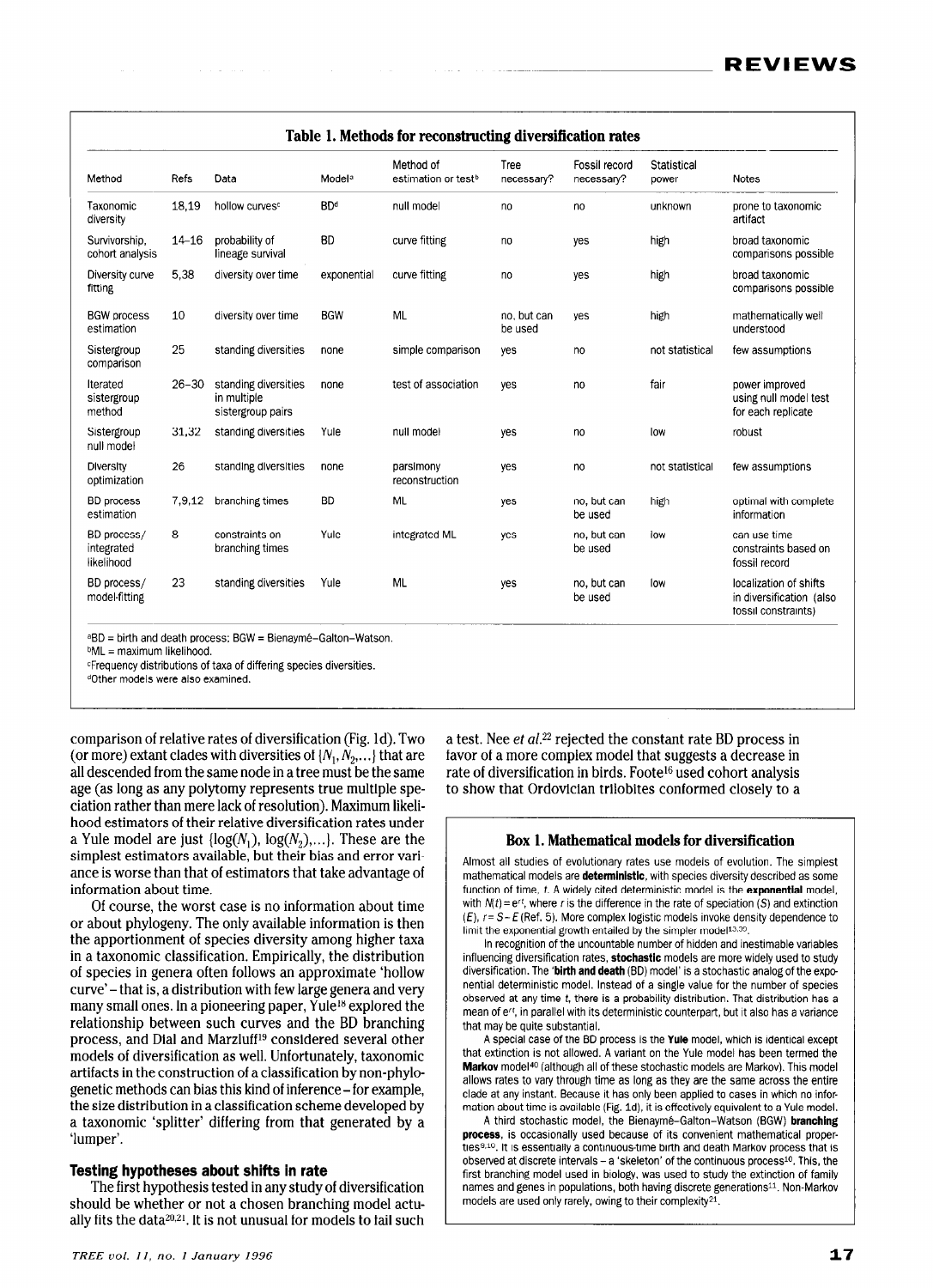| Method                                  | Refs      | Data                                                     | Model <sup>a</sup> | Method of<br>estimation or test <sup>b</sup> | Tree<br>necessary?     | Fossil record<br>necessary? | Statistical<br>power | Notes                                                                     |
|-----------------------------------------|-----------|----------------------------------------------------------|--------------------|----------------------------------------------|------------------------|-----------------------------|----------------------|---------------------------------------------------------------------------|
| Taxonomic<br>diversity                  | 18,19     | hollow curves <sup>c</sup>                               | <b>BDd</b>         | null model                                   | no                     | no                          | unknown              | prone to taxonomic<br>artifact                                            |
| Survivorship.<br>cohort analysis        | $14 - 16$ | probability of<br>lineage survival                       | <b>BD</b>          | curve fitting                                | no                     | yes                         | high                 | broad taxonomic<br>comparisons possible                                   |
| Diversity curve<br>fitting              | 5.38      | diversity over time                                      | exponential        | curve fitting                                | no                     | ves                         | high                 | broad taxonomic<br>comparisons possible                                   |
| <b>BGW</b> process<br>estimation        | 10        | diversity over time                                      | <b>BGW</b>         | <b>ML</b>                                    | no, but can<br>be used | yes                         | high                 | mathematically well<br>understood                                         |
| Sistergroup<br>comparison               | 25        | standing diversities                                     | none               | simple comparison                            | ves                    | no                          | not statistical      | few assumptions                                                           |
| Iterated<br>sistergroup<br>method       | $26 - 30$ | standing diversities<br>in multiple<br>sistergroup pairs | none               | test of association                          | yes                    | no                          | fair                 | power improved<br>using null model test<br>for each replicate             |
| Sistergroup<br>null model               | 31.32     | standing diversities                                     | Yule               | null model                                   | yes                    | no                          | low                  | robust                                                                    |
| Diversity<br>optimization               | 26        | standing diversities                                     | none               | parsimony<br>reconstruction                  | yes                    | no                          | not statistical      | few assumptions                                                           |
| <b>BD</b> process<br>estimation         | 7,9,12    | branching times                                          | <b>BD</b>          | <b>ML</b>                                    | yes                    | no, but can<br>be used      | high                 | optimal with complete<br>information                                      |
| BD process/<br>integrated<br>likelihood | 8         | constraints on<br>branching times                        | Yule               | integrated ML                                | ves                    | no, but can<br>be used      | low                  | can use time<br>constraints based on<br>fossil record                     |
| BD process/<br>model-fitting            | 23        | standing diversities                                     | Yule               | <b>ML</b>                                    | yes                    | no, but can<br>be used      | low                  | localization of shifts<br>in diversification (also<br>fossil constraints) |

aBD = birth and death process; BGW = Bienavmé-Galton-Watson.

bML = maximum likelihood.

*CFrequency distributions of taxa of differing species diversities.* 

dOther models were also examined.

comparison of relative rates of diversification (Fig. Id). Two (or more) extant clades with diversities of  $\{N_1, N_2,...\}$  that are all descended from the same node in a tree must be the same age (as long as any polytomy represents true multiple speciation rather than mere lack of resolution). Maximum likelihood estimators of their relative diversification rates under a Yule model are just  $\{log(N_1), log(N_2),...\}$ . These are the simplest estimators available, but their bias and error variance is worse than that of estimators that take advantage of information about time.

Of course, the worst case is no information about time or about phylogeny. The only available information is then the apportionment of species diversity among higher taxa in a taxonomic classification. Empirically, the distribution of species in genera often follows an approximate 'hollow  $\alpha$  species in genera often follows an approximate from with  $\alpha$  $\alpha$  many states. In a pioneering paper is a pioneering paper of  $\alpha$  and  $\alpha$  is a pioneering paper. relatives and the branching between such curves and the BD branching between  $\frac{1}{2}$ productionship between such curves and the DD branching models of diversification as well. Unfortunately, taxonomic  $a$ <sup>r</sup> artifacts in the construction of a classification by  $a$  cannot be  $b$ artifacts in the construction of a classification by non-phylogenetic methods can bias this kind of inference - for example, the size distribution in a classification scheme developed by a taxonomic 'splitter' differing from that generated by a 'lumper'.

#### Testing hypotheses about shifts in rate  $T_{\rm eff}$  is the first study of the first hypothesis tested in any study of  $T_{\rm eff}$

The first hypothesis tested in any study of diversification should be whether or not a chosen branching model actually fits the data $20.21$ . It is not unusual for models to fail such a test. Nee ef al.22 rejected the constant rate BD process in favor of a more complex model that suggests a decrease in rate of diversification in birds. Foote16 used cohort analysis to show that Ordovician trilobites conformed closely to a

## Box 1. Mathematical models for diversification

Almost all studies of evolutionary rates use models of evolution. The simplest mitted an education of exercisingly rated does modele or exercition. The employ function about models are deterministic, man openios arrenony accomposition of comm function of time, t. A widely cited deterministic model is the **exponential** model, with  $N(t) = e^{rt}$ , where r is the difference in the rate of speciation (S) and extinction  $(1, 1, 0, 0, 0, 0, 0, 0, 0, 0, 0)$ . More complex in the fact of opportunity (b) differentially  $\sum_{i=1}^{n}$  the exponential growth entailed by the simplex model by the simpler  $\sum_{i=1}^{n}$ limit the exponential growth entailed by the simpler model<sup>13,39</sup>.<br>In recognition of the uncountable number of hidden and inestimable variables

influenciation of the differenciency nation of models and models rations variables diversion. The 'birth and death (BD) model is a stochastic analog of the experimental is a stock of the experimental of the experimental is a stock of the experimental of the experimental is a stock of the experimental of ancientement instead of a single value for the species value of the species of the number of species  $\frac{1}{2}$ normal determinism model, instead of a single value for the number of species observed at any time  $t$ , there is a probability distribution. That distribution has a mean of e<sup>rt</sup>, in parallel with its deterministic counterpart, but it also has a variance that may be quite substantial.  $\overline{B}$  special case of the BD process is the  $\overline{B}$ 

A special case of the DD process is the Tule model, which is identical except that extinction is not allowed. A variant on the Yule model has been termed the Markov model<sup>40</sup> (although all of these stochastic models are Markov). This model allows rates to vary through time as long as they are the same across the entire clade at any instant. Because it has only been applied to cases in which no information about time is available (Fig. 1d), it is effectively equivalent to a Yule model.

A third stochastic model, the Bienaymé-Galton-Watson (BGW) branching process, is occasionally used because of its convenient mathematical properties<sup>9,10</sup>. It is essentially a continuous-time birth and death Markov process that is observed at discrete intervals – a 'skeleton' of the continuous process<sup>10</sup>. This, the first branching model used in biology, was used to study the extinction of family names and genes in populations, both having discrete generations<sup>11</sup>. Non-Markov models are used only rarely, owing to their complexity<sup>21</sup>.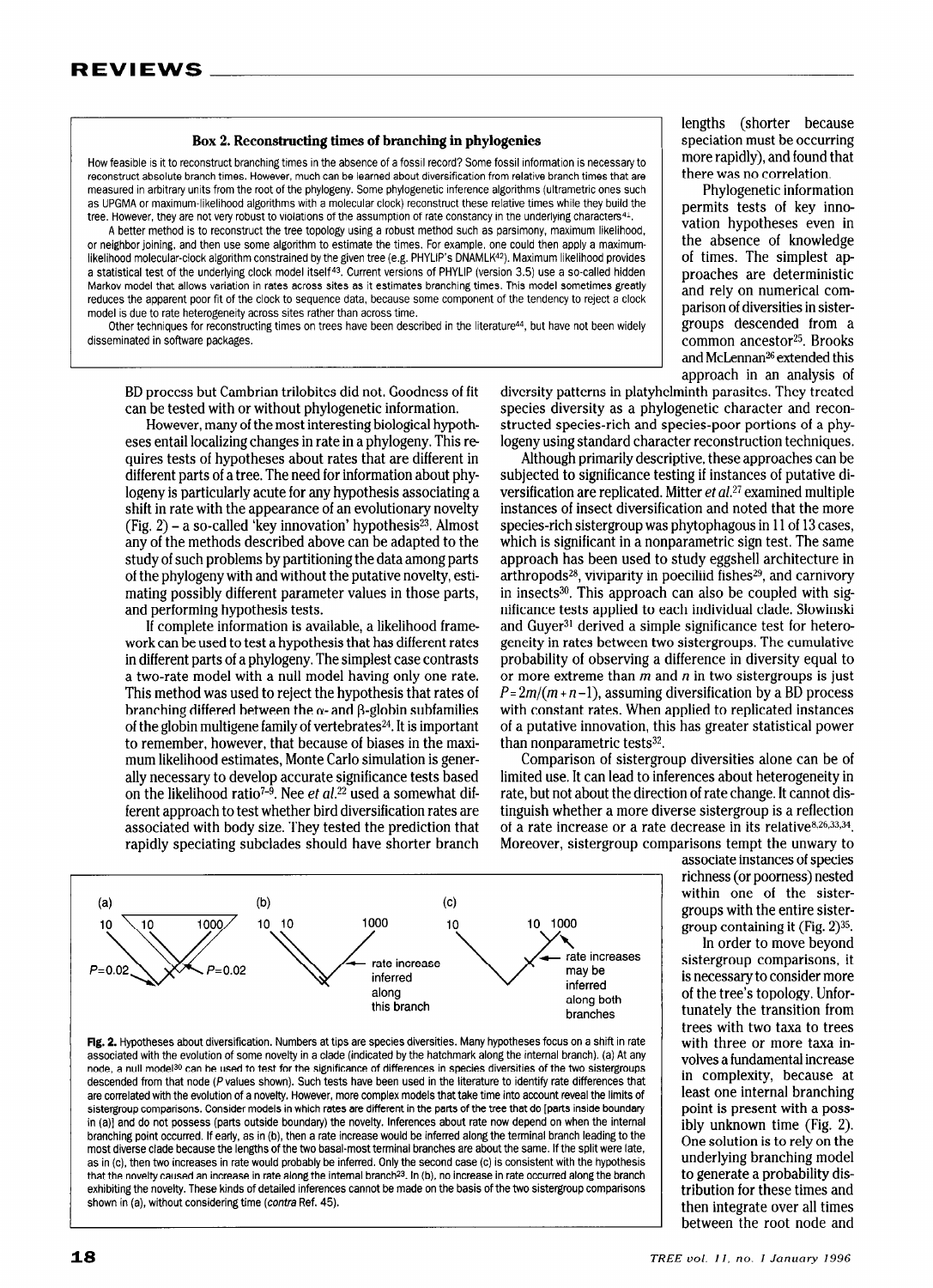### Box 2. Reconstructing times of branching in pbylogenies

How feasible is it to reconstruct branching times in the absence of a fossil record? Some fossil information is necessary to reconstruct absolute branch times. However, much can be learned about diversification from relative branch times that are measured in arbitrary units from the root of the phylogeny. Some phylogenetic inference algorithms (ultrametric ones such as UPGMA or maximum-likelihood algorithms with a molecular clock) reconstruct these relative times while they build the tree. However, they are not very robust to violations of the assumption of rate constancy in the underlying characters $41$ .

A better method is to reconstruct the tree topology using a robust method such as parsimony, maximum likelihood, or neighbor joining, and then use some algorithm to estimate the times. For example, one could then apply a maximumlikelihood molecular-clock algorithm constrained by the given tree (e.g. PHYLIP's DNAMLK42). Maximum likelihood provides a statistical test of the underlying clock model itself<sup>43</sup>. Current versions of PHYLIP (version 3.5) use a so-called hidden Markov model that allows variation in rates across sites as it estimates branching times. This model sometimes greatly reduces the apparent poor fit of the clock to sequence data, because some component of the tendency to reject a clock model is due to rate heterogeneity across sites rather than across time.

Other techniques for reconstructing times on trees have been described in the literature<sup>44</sup>, but have not been widely disseminated in software packages.

BD process but Cambrian trilobites did not. Goodness of fit can be tested with or without phylogenetic information.

However, many of the most interesting biological hypotheses entail localizing changes in rate in a phylogeny. This re quires tests of hypotheses about rates that are different in different parts of a tree. The need for information about phylogeny is particularly acute for any hypothesis associating a shift in rate with the appearance of an evolutionary novelty (Fig.  $2$ ) – a so-called 'key innovation' hypothesis<sup>23</sup>. Almost any of the methods described above can be adapted to the study of such problems by partitioning the data among parts of the phylogeny with and without the putative novelty, estimating possibly different parameter values in those parts, and performing hypothesis tests.

If complete information is available, a likelihood framework can be used to test a hypothesis that has different rates in different parts of a phylogeny. The simplest case contrasts a two-rate model with a null model having only one rate. This method was used to reject the hypothesis that rates of branching differed between the  $\alpha$ - and  $\beta$ -globin subfamilies of the globin multigene family of vertebrates $^{24}$ . It is important to remember, however, that because of biases in the maximum likelihood estimates, Monte Carlo simulation is generally necessary to develop accurate significance tests based on the likelihood ratio<sup>7-9</sup>. Nee et  $al$ .<sup>22</sup> used a somewhat different approach to test whether bird diversification rates are associated with body size. They tested the prediction that rapidly speciating subclades should have shorter branch

lengths (shorter because speciation must be occurring more rapidly), and found that there was no correlation.

Phylogenetic information permits tests of key innovation hypotheses even in the absence of knowledge of times. The simplest approaches are deterministic and rely on numerical comparison of diversities in sistergroups descended from a common ancestor<sup>25</sup>. Brooks and McLennan<sup>26</sup> extended this approach in an analysis of

diversity patterns in platyhelminth parasites. They treated species diversity as a phylogenetic character and reconstructed species-rich and species-poor portions of a phylogeny using standard character reconstruction techniques.

Although primarily descriptive, these approaches can be subjected to significance testing if instances of putative diversification are replicated. Mitter et al.27 examined multiple instances of insect diversification and noted that the more species-rich sistergroup was phytophagous in 11 of 13 cases, which is significant in a nonparametric sign test. The same approach has been used to study eggshell architecture in arthropods<sup>28</sup>, viviparity in poeciliid fishes<sup>29</sup>, and carnivory in insects<sup>30</sup>. This approach can also be coupled with significance tests applied to each individual clade. Slowinski and Guyer<sup>31</sup> derived a simple significance test for heterogeneity in rates between two sistergroups. The cumulative probability of observing a difference in diversity equal to or more extreme than  $m$  and  $n$  in two sistergroups is just  $P = 2m/(m + n - 1)$ , assuming diversification by a BD process with constant rates. When applied to replicated instances of a putative innovation, this has greater statistical power than nonparametric tests<sup>32</sup>.

Comparison of sistergroup diversities alone can be of limited use. It can lead to inferences about heterogeneity in rate, but not about the direction of rate change. It cannot distinguish whether a more diverse sistergroup is a reflection of a rate increase or a rate decrease in its relative  $8,26,33,34$ . Moreover, sistergroup comparisons tempt the unwary to



 $\mathsf{rigs}$ . Trypoureses about anversindation, nambers at this are species diversites, many hypotheses locus on a shift in rate associated with the evolution of some novelty in a clade (indicated by the hatchmark along the internal branch). (a) At any node, a null model<sup>30</sup> can be used to test for the significance of differences in species diversities of the two sistergroups descended from that node (P values shown). Such tests have been used in the literature to identify rate differences that are correlated with the evolution of a novelty. However, more complex models that take time into account reveal the limits of sistergroup comparisons. Consider models in which rates are different in the parts of the tree that do [parts inside boundary in (a)] and do not possess (parts outside boundary) the novelty. Inferences about rate now depend on when the internal branching point occurred. If early, as in (b), then a rate increase would be inferred along the terminal branch leading to the most diverse clade because the lengths of the two basal-most terminal branches are about the same. If the split were late, as in (c), then two increases in rate would probably be inferred. Only the second case (c) is consistent with the hypothesis that the novelty caused an increase in rate along the internal branch<sup>23</sup>. In (b), no increase in rate occurred along the branch exhibiting the novelty. These kinds of detailed inferences cannot be made on the basis of the two sistergroup comparisons shown in (a), without considering time (*contra* Ref. 45).

associate instances of species richness (or poorness) nested within one of the sistergroups with the entire sistergroup containing it (Fig. 2)35.

In order to move beyond sistergroup comparisons, it is necessary to consider more of the tree's topology. Unfortunately the transition from tunately the transition from  $w_{\text{tot}}$  with the taxa to trees with three or more taxa  $\mathbf{m}$ voives a initial definal dictease in complexity, because at least one internal branching point is present with a possibly unknown time (Fig.  $2$ ). One solution is to rely on the underlying branching model to generate a probability distribution for these times and then integrate over all times<br>between the root node and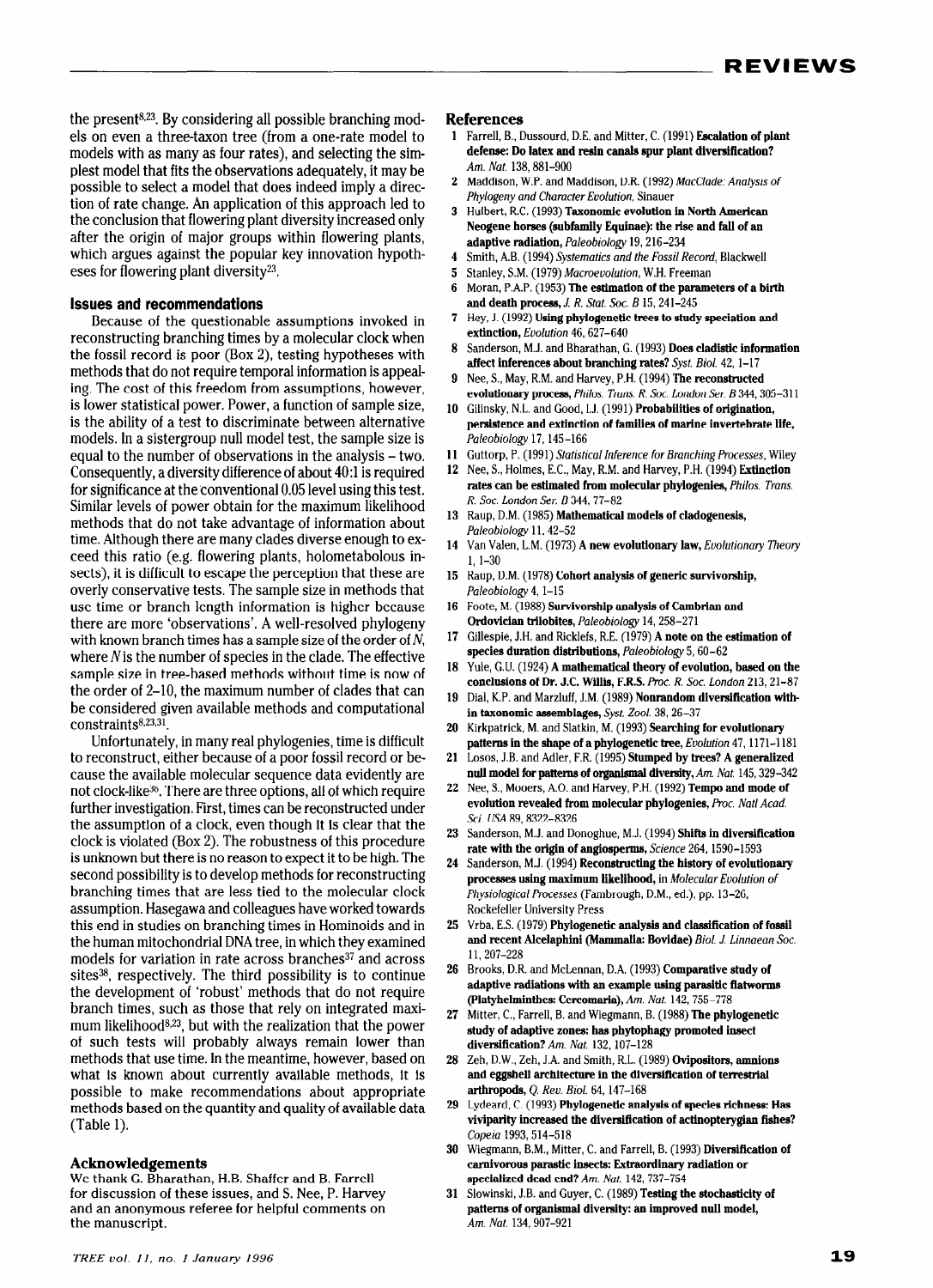the present<sup>8,23</sup>. By considering all possible branching models on even a three-taxon tree (from a one-rate model to models with as many as four rates), and selecting the simplest model that fits the observations adequately, it may be possible to select a model that does indeed imply a direction of rate change. An application of this approach led to the conclusion that flowering plant diversity increased only after the origin of major groups within flowering plants, which argues against the popular key innovation hypotheses for flowering plant diversity23.

## Issues and recommendations

Because of the questionable assumptions invoked in reconstructing branching times by a molecular clock when the fossil record is poor (Box 2), testing hypotheses with methods that do not require temporal information is appealing. The cost of this freedom from assumptions, however, is lower statistical power. Power, a function of sample size, is the ability of a test to discriminate between alternative models. In a sistergroup null model test, the sample size is equal to the number of observations in the analysis – two. Consequently, a diversity difference of about 4O:l is required for significance at the conventional 0.05 level using this test. Similar levels of power obtain for the maximum likelihood methods that do not take advantage of information about time. Although there are many clades diverse enough to exceed this ratio (e.g. flowering plants, holometabolous insects), it is difficult to escape the perception that these are overly conservative tests. The sample size in methods that use time or branch length information is higher because there are more 'observations'. A well-resolved phylogeny with known branch times has a sample size of the order of N, where  $N$  is the number of species in the clade. The effective sample size in tree-based methods without time is now of the order of 2-10, the maximum number of clades that can be considered given available methods and computational  $constraints<sup>8,23,31</sup>$ .

Unfortunately, in many real phylogenies, time is difficult to reconstruct, either because of a poor fossil record or because the available molecular sequence data evidently are not clock-like36. There are three options, all of which require further investigation. First, times can be reconstructed under the assumption of a clock, even though it is clear that the clock is violated (Box 2). The robustness of this procedure is unknown but there is no reason to expect it to be high. The second possibility is to develop methods for reconstructing branching times that are less tied to the molecular clock assumption. Hasegawa and colleagues have worked towards this end in studies on branching times in Hominoids and in the human mitochondrial DNA tree, in which they examined models for variation in rate across branches<sup>37</sup> and across sites $38$ , respectively. The third possibility is to continue the development of 'robust' methods that do not require branch times, such as those that rely on integrated maxi $m$  and  $m$  likelihood  $m$  as  $m$  of the realization that the power  $p$  $\alpha$  such that the such than the remain lower than the power of such tests will probably always reliant lower than  $\mu$ <sub>1</sub> about  $\mu$ <sub>2</sub> and  $\mu$ <sub>2</sub> and  $\mu$ <sub>1</sub> are  $\mu$ <sub>1</sub> and  $\mu$ <sub>1</sub> and  $\mu$ <sub>1</sub> and  $\mu$ <sub>1</sub> and  $\mu$ <sub>1</sub> and  $\mu$ <sub>1</sub> and  $\mu$ <sub>1</sub> and  $\mu$ <sub>1</sub> and  $\mu$ <sub>1</sub> and  $\mu$ <sub>1</sub> and  $\mu$ <sub>1</sub> and  $\mu$ <sub>1</sub> and  $\mu$ <sub>1</sub> and  $\mu$ <sub>1</sub> and  $\mu$ what is known about currently available methods, it is possible to make recommendations about appropriate methods based on the quantity and quality of available data (Table 1).

#### Acknowledgements AC homographic Bharathan, H.B. Shaffer and B. Farrell

we thank G. Dharathan, H.D. Shaher and D. Farren for discussion of these issues, and S. Nee, P. Harvey and an anonymous referee for helpful comments on<br>the manuscript.

#### References

- 1 Farrell, B., Dussourd, D.E. and Mitter, C. (1991) Escalation of plant defense: Do latex and resin canals spur plant diversification? Am. Nat. 138,881-900
- 2 Maddison, W.P. and Maddison, D.R. (1992) MacClade: Analysis of Phylogeny and Character Evolution, Sinauer
- 3 Hulbert, R.C. (1993) Taxonomic evolution in North American Neogene horses (subfamily Equinae): the rise and fall of an adaptive radiation, Paleobiology 19, 216-234
- Smith, A.B. (1994) Systematics and the Fossil Record, Blackwell
- Stanley, SM. (1979) Macroevolution, W.H. Freeman 5.
- Moran, P.A.P. (1953) The estimation of the parameters of a birth and death process,  $J. R. Stat. Soc. B15, 241-245$
- Hey, J. (1992) Using phylogenetic trees to study speciation and extinction, Evolution 46, 627-640
- Sanderson, M.J. and Bharathan, G. (1993) Does cladistic information 8 affect inferences about branching rates? Syst. Biol. 42, 1-17
- Nee, S., May, R.M. and Harvey, P.H. (1994) The reconstructed evolutionary process, Philos. Trans. R. Soc. London Ser. B 344, 305-311
- $10$ Gilinsky, N.L. and Good, I.J. (1991) Probabilities of origination, persistence and extinction of families of marine invertebrate life, Paleobiology 17, 145-166
- 11 Guttorp, P. (1991) Stafisfical inference for Branching Processes, Wiley
- 12. Nee, S., Holmes, E.C., May, R.M. and Harvey, P.H. (1994) Extinction rates can be estimated from molecular phylogenies, Philos. Trans. R. Sot. London Ser. B 344,77-82
- 13 Raup, D.M. (1985) Mathematical models of cladogenesis Paleobiology 11, 42-52
- 14 Van Valen, L.M. (1973) A new evolutionary law, Evolufionary Theory 1, l-30
- 15 Raup, D.M. (1978) Cohort analysis of generic survivorship, Paleobiology 4, 1-15
- 16 Foote, M. (1988) Survivorship analysis of Cambrian and Ordovician trilobites, Paleobiology 14,258-271
- 17 Gillespie, J.H. and Ricklefs, R.E. (1979) A note on the estimation of species duration distributions, Paleobiology 5, 60-62
- 18 Yule, G.U. (1924) A mathematical theory of evolution, based on the conclusions of Dr. J.C. Willis, F.R.S. Proc. R. Soc. London 213, 21-87
- 19 Dial, K.P. and Marzluff, J.M. (1989) Nonrandom diversification within taxonomic assemblages, Syst. Zool. 38,26-37
- 20 Kirkpatrick, M. and Slatkin, M. (1993) Searching for evolutionary patterns in the shape of a phylogenetic tree, Evolution 47, 1171-1181
- 21 Losos, J.B. and Adler, F.R. (1995) Stumped by trees? A generalized null model for patterns of organlsmal diversity, Am. Nat 145,329-342
- 22 Nee, S., Mooers, A.O. and Harvey, P.H. (1992) Tempo and mode of evolution revealed from molecular phylogenies, Proc. Natl Acad. Sci. USA 89,8322-8326
- 23 Sanderson, M.J. and Donoghue, M.J. (1994) Shifts in diversification rate with the origin of angiosperms, Science 264, 1590-1593
- 24 Sanderson, M.J. (1994) Reconstructing the history of evolutionary processes using maximum likelihood, in Molecular Evolution of Physiological Processes (Fambrough, D.M., ed.), pp. 13-26, Rockefeller University Press
- 25 26 Brooks, D.R. and McLennan, D.A. (1993) Comparative study of Vrba, E.S. (1979) Phylogenetic analysis and classification of fossil and recent Alcelaphini (Mammalia: Bovidae) Biol. J. Linnaean Soc. 11,207-228
- $\alpha$  and  $\alpha$  and  $\alpha$  and  $\alpha$  and  $\alpha$  and  $\alpha$  and  $\alpha$  and  $\alpha$  and  $\alpha$  and  $\alpha$  and  $\alpha$  and  $\alpha$  and  $\alpha$  and  $\alpha$  and  $\alpha$  and  $\alpha$  and  $\alpha$  and  $\alpha$  and  $\alpha$  and  $\alpha$  and  $\alpha$  and  $\alpha$  and  $\alpha$  and  $\alpha$  and  $\alpha$  auapuve raurativno with an example uoing paraolue (Platyhelminthes: Cercomaria), Am. Nat. 142, 755-778<br>Mitter, C., Farrell, B. and Wiegmann, B. (1988) The phylogenetic
- 27  $\frac{28}{38}$  and  $\frac{28}{38}$  and  $\frac{28}{38}$  and  $\frac{28}{38}$  and  $\frac{28}{38}$  and  $\frac{28}{38}$  and  $\frac{28}{38}$  and  $\frac{28}{38}$  and  $\frac{28}{38}$  and  $\frac{28}{38}$  and  $\frac{28}{38}$  and  $\frac{28}{38}$  and  $\frac{28}{38}$  and  $\frac{28}{38}$  a  $\frac{1}{2}$  studied in a phytophaguar promoted insection in  $\frac{1}{2}$ dia y or auapuve zones, nas phytoph
- $\alpha$ .  $\beta$ .  $\alpha$ .  $\alpha$ .  $\alpha$  and omith,  $\alpha$ .  $\alpha$  (1909) **Overfoonors, allen** and eggshell architecture in the diversification of terrestrial arthropods, Q. Rev. Biol. 64, 147-168
- 29 Lydeard, C. (1993) Phylogenetic analysis of species richness: Has viviparity increased the diversification of actinoptery<br>gian fishes? Copeia 1993, 514-518  $\,$  $\omega$ <sub>e</sub>  $\omega$ <sub>m</sub>. B.M.,  $\omega$ <sub>m</sub>.  $\omega$ <sub>m</sub>. (1993) Diversification of  $\omega$
- 30  $w$ ieginami, D.M., Mitter, C. and Parren, D.  $(1555)$  Diversing carnivorous parastic insects: Extraordinary radiation or specialized dead end? Am. Nat. 142, 737-754
- 31 Slowinski, J.B. and Guyer, C. (1989) Testing the stochasticity of patterns of organismal diversity: an improved null model,  $Am.$  Nat. 134, 907-921